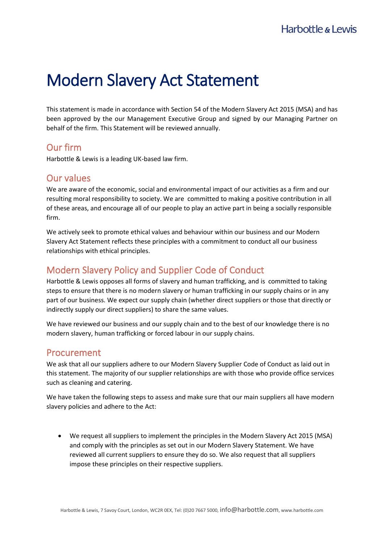# Modern Slavery Act Statement

This statement is made in accordance with Section 54 of the Modern Slavery Act 2015 (MSA) and has been approved by the our Management Executive Group and signed by our Managing Partner on behalf of the firm. This Statement will be reviewed annually.

### Our firm

Harbottle & Lewis is a leading UK-based law firm.

## Our values

We are aware of the economic, social and environmental impact of our activities as a firm and our resulting moral responsibility to society. We are committed to making a positive contribution in all of these areas, and encourage all of our people to play an active part in being a socially responsible firm.

We actively seek to promote ethical values and behaviour within our business and our Modern Slavery Act Statement reflects these principles with a commitment to conduct all our business relationships with ethical principles.

# Modern Slavery Policy and Supplier Code of Conduct

Harbottle & Lewis opposes all forms of slavery and human trafficking, and is committed to taking steps to ensure that there is no modern slavery or human trafficking in our supply chains or in any part of our business. We expect our supply chain (whether direct suppliers or those that directly or indirectly supply our direct suppliers) to share the same values.

We have reviewed our business and our supply chain and to the best of our knowledge there is no modern slavery, human trafficking or forced labour in our supply chains.

### Procurement

We ask that all our suppliers adhere to our Modern Slavery Supplier Code of Conduct as laid out in this statement. The majority of our supplier relationships are with those who provide office services such as cleaning and catering.

We have taken the following steps to assess and make sure that our main suppliers all have modern slavery policies and adhere to the Act:

• We request all suppliers to implement the principles in the Modern Slavery Act 2015 (MSA) and comply with the principles as set out in our Modern Slavery Statement. We have reviewed all current suppliers to ensure they do so. We also request that all suppliers impose these principles on their respective suppliers.